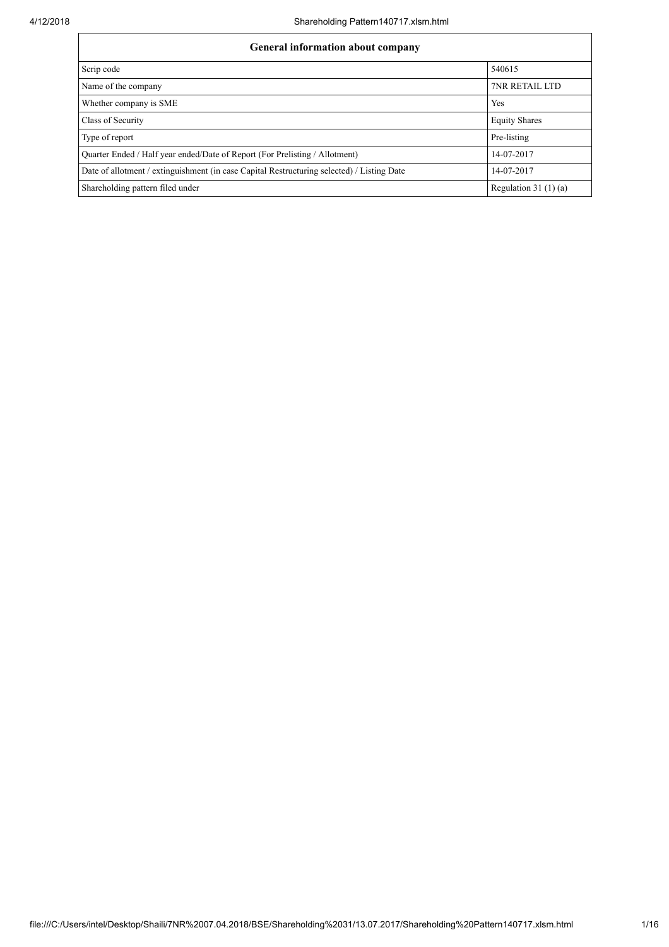| General information about company                                                          |                        |  |  |  |  |  |
|--------------------------------------------------------------------------------------------|------------------------|--|--|--|--|--|
| Scrip code                                                                                 | 540615                 |  |  |  |  |  |
| Name of the company                                                                        | <b>7NR RETAIL LTD</b>  |  |  |  |  |  |
| Whether company is SME                                                                     | Yes                    |  |  |  |  |  |
| Class of Security                                                                          | <b>Equity Shares</b>   |  |  |  |  |  |
| Type of report                                                                             | Pre-listing            |  |  |  |  |  |
| Quarter Ended / Half year ended/Date of Report (For Prelisting / Allotment)                | 14-07-2017             |  |  |  |  |  |
| Date of allotment / extinguishment (in case Capital Restructuring selected) / Listing Date | 14-07-2017             |  |  |  |  |  |
| Shareholding pattern filed under                                                           | Regulation 31 $(1)(a)$ |  |  |  |  |  |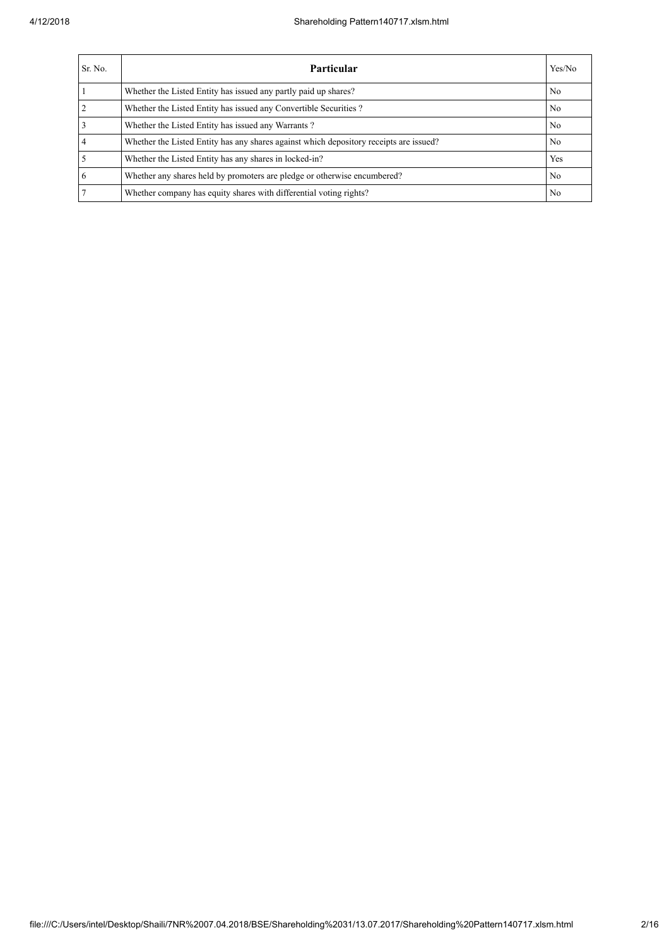| Sr. No. | <b>Particular</b>                                                                      | Yes/No         |
|---------|----------------------------------------------------------------------------------------|----------------|
|         | Whether the Listed Entity has issued any partly paid up shares?                        | N <sub>0</sub> |
|         | Whether the Listed Entity has issued any Convertible Securities?                       | N <sub>0</sub> |
|         | Whether the Listed Entity has issued any Warrants?                                     | N <sub>0</sub> |
|         | Whether the Listed Entity has any shares against which depository receipts are issued? | N <sub>0</sub> |
|         | Whether the Listed Entity has any shares in locked-in?                                 | Yes            |
| 6       | Whether any shares held by promoters are pledge or otherwise encumbered?               | N <sub>o</sub> |
|         | Whether company has equity shares with differential voting rights?                     | N <sub>0</sub> |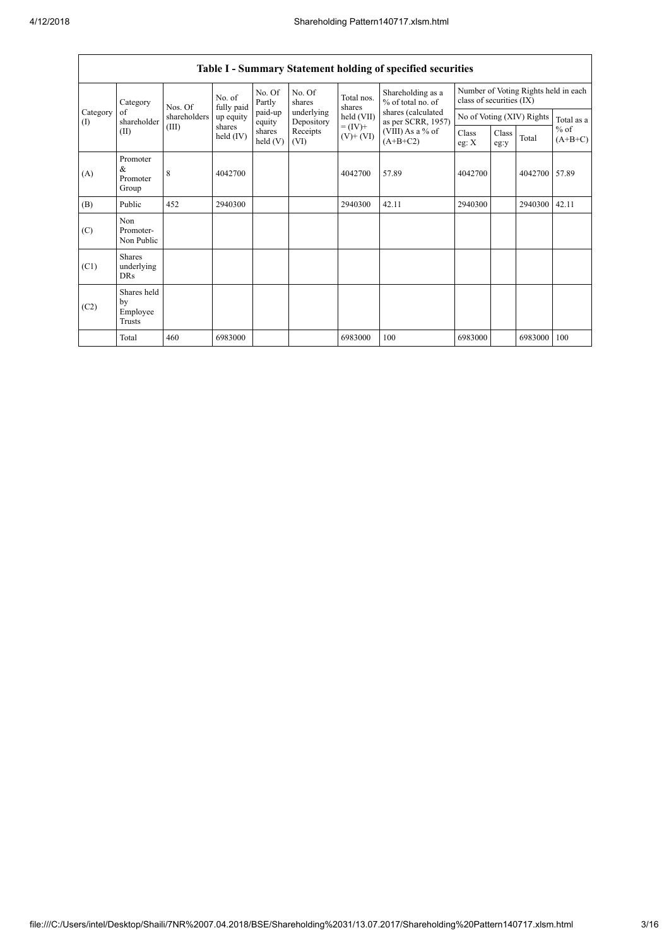|                                                       |                                           |                   |                       |                          |                  |                                          | Table I - Summary Statement holding of specified securities |                                                                  |               |         |                     |
|-------------------------------------------------------|-------------------------------------------|-------------------|-----------------------|--------------------------|------------------|------------------------------------------|-------------------------------------------------------------|------------------------------------------------------------------|---------------|---------|---------------------|
| Category<br>Category<br>of<br>shareholder<br>$\rm(D)$ |                                           | No. of<br>Nos. Of | fully paid            | No. Of<br>Partly         | No. Of<br>shares | Total nos.<br>shares                     | Shareholding as a<br>% of total no. of                      | Number of Voting Rights held in each<br>class of securities (IX) |               |         |                     |
|                                                       | shareholders                              | up equity         | paid-up<br>equity     | underlying<br>Depository | held (VII)       | shares (calculated<br>as per SCRR, 1957) |                                                             | No of Voting (XIV) Rights                                        |               |         |                     |
|                                                       | (II)                                      | (III)             | shares<br>held $(IV)$ | shares<br>held(V)        | Receipts<br>(VI) | $= (IV) +$<br>$(V)$ + $(VI)$             | (VIII) As a % of<br>$(A+B+C2)$                              | Class<br>eg: $X$                                                 | Class<br>eg:y | Total   | $%$ of<br>$(A+B+C)$ |
| (A)                                                   | Promoter<br>&<br>Promoter<br>Group        | 8                 | 4042700               |                          |                  | 4042700                                  | 57.89                                                       | 4042700                                                          |               | 4042700 | 57.89               |
| (B)                                                   | Public                                    | 452               | 2940300               |                          |                  | 2940300                                  | 42.11                                                       | 2940300                                                          |               | 2940300 | 42.11               |
| (C)                                                   | Non<br>Promoter-<br>Non Public            |                   |                       |                          |                  |                                          |                                                             |                                                                  |               |         |                     |
| (C1)                                                  | <b>Shares</b><br>underlying<br><b>DRs</b> |                   |                       |                          |                  |                                          |                                                             |                                                                  |               |         |                     |
| (C2)                                                  | Shares held<br>by<br>Employee<br>Trusts   |                   |                       |                          |                  |                                          |                                                             |                                                                  |               |         |                     |
|                                                       | Total                                     | 460               | 6983000               |                          |                  | 6983000                                  | 100                                                         | 6983000                                                          |               | 6983000 | 100                 |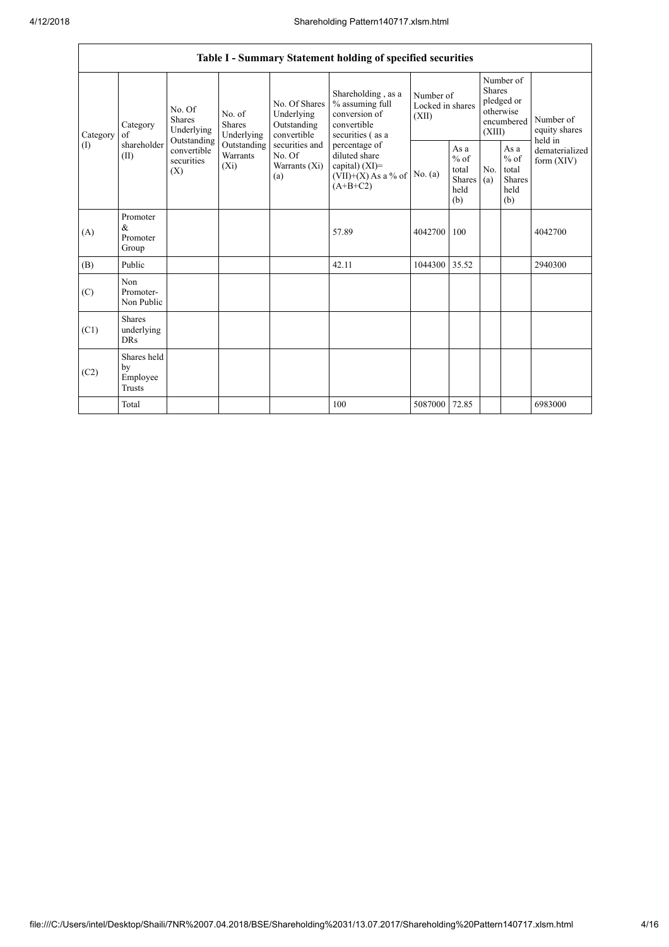|                               | Table I - Summary Statement holding of specified securities |                                                                                   |                                                                             |                                                                                                               |                                                                                            |                                        |                                                                               |            |                                                         |                                |
|-------------------------------|-------------------------------------------------------------|-----------------------------------------------------------------------------------|-----------------------------------------------------------------------------|---------------------------------------------------------------------------------------------------------------|--------------------------------------------------------------------------------------------|----------------------------------------|-------------------------------------------------------------------------------|------------|---------------------------------------------------------|--------------------------------|
| Category<br>οf<br>(1)<br>(II) | Category                                                    | No. Of<br>Shares<br>Underlying<br>Outstanding<br>convertible<br>securities<br>(X) | No. of<br><b>Shares</b><br>Underlying<br>Outstanding<br>Warrants<br>$(X_i)$ | No. Of Shares<br>Underlying<br>Outstanding<br>convertible<br>securities and<br>No. Of<br>Warrants (Xi)<br>(a) | Shareholding, as a<br>% assuming full<br>conversion of<br>convertible<br>securities (as a  | Number of<br>Locked in shares<br>(XII) | Number of<br><b>Shares</b><br>pledged or<br>otherwise<br>encumbered<br>(XIII) |            | Number of<br>equity shares<br>held in                   |                                |
|                               | shareholder                                                 |                                                                                   |                                                                             |                                                                                                               | percentage of<br>diluted share<br>capital) $(XI)$ =<br>$(VII)+(X)$ As a % of<br>$(A+B+C2)$ | No. (a)                                | As a<br>$%$ of<br>total<br><b>Shares</b><br>held<br>(b)                       | No.<br>(a) | As a<br>$%$ of<br>total<br><b>Shares</b><br>held<br>(b) | dematerialized<br>form $(XIV)$ |
| (A)                           | Promoter<br>$\&$<br>Promoter<br>Group                       |                                                                                   |                                                                             |                                                                                                               | 57.89                                                                                      | 4042700                                | 100                                                                           |            |                                                         | 4042700                        |
| (B)                           | Public                                                      |                                                                                   |                                                                             |                                                                                                               | 42.11                                                                                      | 1044300                                | 35.52                                                                         |            |                                                         | 2940300                        |
| (C)                           | Non<br>Promoter-<br>Non Public                              |                                                                                   |                                                                             |                                                                                                               |                                                                                            |                                        |                                                                               |            |                                                         |                                |
| (C1)                          | <b>Shares</b><br>underlying<br><b>DRs</b>                   |                                                                                   |                                                                             |                                                                                                               |                                                                                            |                                        |                                                                               |            |                                                         |                                |
| (C2)                          | Shares held<br>by<br>Employee<br><b>Trusts</b>              |                                                                                   |                                                                             |                                                                                                               |                                                                                            |                                        |                                                                               |            |                                                         |                                |
|                               | Total                                                       |                                                                                   |                                                                             |                                                                                                               | 100                                                                                        | 5087000                                | 72.85                                                                         |            |                                                         | 6983000                        |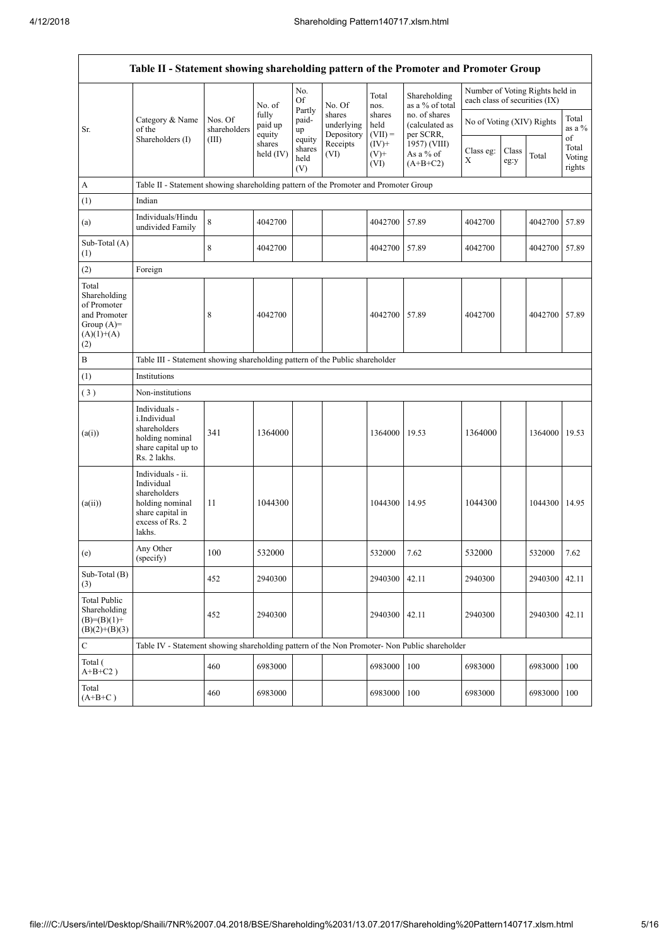$\overline{\mathsf{I}}$ 

|                                                                                             | Table II - Statement showing shareholding pattern of the Promoter and Promoter Group                                |                                                                                      |                            |                                 |                                    |                             |                                              |                                                                  |               |               |                           |
|---------------------------------------------------------------------------------------------|---------------------------------------------------------------------------------------------------------------------|--------------------------------------------------------------------------------------|----------------------------|---------------------------------|------------------------------------|-----------------------------|----------------------------------------------|------------------------------------------------------------------|---------------|---------------|---------------------------|
|                                                                                             |                                                                                                                     |                                                                                      | No. of                     | No.<br>Of                       | No. Of                             | Total<br>nos.               | Shareholding<br>as a % of total              | Number of Voting Rights held in<br>each class of securities (IX) |               |               |                           |
| Sr.                                                                                         | Category & Name<br>of the<br>Shareholders (I)                                                                       | Nos. Of<br>shareholders                                                              | fully<br>paid up<br>equity | Partly<br>paid-<br>up           | shares<br>underlying<br>Depository | shares<br>held<br>$(VII) =$ | no. of shares<br>(calculated as<br>per SCRR, | No of Voting (XIV) Rights                                        |               |               | Total<br>as a %<br>of     |
|                                                                                             |                                                                                                                     | (III)                                                                                | shares<br>held (IV)        | equity<br>shares<br>held<br>(V) | Receipts<br>(VI)                   | $(IV)+$<br>$(V)$ +<br>(VI)  | 1957) (VIII)<br>As a % of<br>$(A+B+C2)$      | Class eg:<br>X                                                   | Class<br>eg:y | Total         | Total<br>Voting<br>rights |
| A                                                                                           |                                                                                                                     | Table II - Statement showing shareholding pattern of the Promoter and Promoter Group |                            |                                 |                                    |                             |                                              |                                                                  |               |               |                           |
| (1)                                                                                         | Indian                                                                                                              |                                                                                      |                            |                                 |                                    |                             |                                              |                                                                  |               |               |                           |
| (a)                                                                                         | Individuals/Hindu<br>undivided Family                                                                               | 8                                                                                    | 4042700                    |                                 |                                    | 4042700                     | 57.89                                        | 4042700                                                          |               | 4042700 57.89 |                           |
| Sub-Total (A)<br>(1)                                                                        |                                                                                                                     | 8                                                                                    | 4042700                    |                                 |                                    | 4042700                     | 57.89                                        | 4042700                                                          |               | 4042700 57.89 |                           |
| (2)                                                                                         | Foreign                                                                                                             |                                                                                      |                            |                                 |                                    |                             |                                              |                                                                  |               |               |                           |
| Total<br>Shareholding<br>of Promoter<br>and Promoter<br>Group $(A)=$<br>$(A)(1)+(A)$<br>(2) |                                                                                                                     | 8                                                                                    | 4042700                    |                                 |                                    | 4042700                     | 57.89                                        | 4042700                                                          |               | 4042700 57.89 |                           |
| $\, {\bf B}$                                                                                |                                                                                                                     | Table III - Statement showing shareholding pattern of the Public shareholder         |                            |                                 |                                    |                             |                                              |                                                                  |               |               |                           |
| (1)                                                                                         | Institutions                                                                                                        |                                                                                      |                            |                                 |                                    |                             |                                              |                                                                  |               |               |                           |
| (3)                                                                                         | Non-institutions                                                                                                    |                                                                                      |                            |                                 |                                    |                             |                                              |                                                                  |               |               |                           |
| (a(i))                                                                                      | Individuals -<br>i.Individual<br>shareholders<br>holding nominal<br>share capital up to<br>Rs. 2 lakhs.             | 341                                                                                  | 1364000                    |                                 |                                    | 1364000                     | 19.53                                        | 1364000                                                          |               | 1364000 19.53 |                           |
| (a(ii))                                                                                     | Individuals - ii.<br>Individual<br>shareholders<br>holding nominal<br>share capital in<br>excess of Rs. 2<br>lakhs. | 11                                                                                   | 1044300                    |                                 |                                    | 1044300                     | 14.95                                        | 1044300                                                          |               | 1044300 14.95 |                           |
| (e)                                                                                         | Any Other<br>(specify)                                                                                              | 100                                                                                  | 532000                     |                                 |                                    | 532000                      | 7.62                                         | 532000                                                           |               | 532000        | 7.62                      |
| Sub-Total (B)<br>(3)                                                                        |                                                                                                                     | 452                                                                                  | 2940300                    |                                 |                                    | 2940300                     | 42.11                                        | 2940300                                                          |               | 2940300 42.11 |                           |
| <b>Total Public</b><br>Shareholding<br>$(B)=(B)(1)+$<br>$(B)(2)+(B)(3)$                     |                                                                                                                     | 452                                                                                  | 2940300                    |                                 |                                    | 2940300                     | 42.11                                        | 2940300                                                          |               | 2940300       | 42.11                     |
| $\mathbf C$                                                                                 | Table IV - Statement showing shareholding pattern of the Non Promoter- Non Public shareholder                       |                                                                                      |                            |                                 |                                    |                             |                                              |                                                                  |               |               |                           |
| Total (<br>$A+B+C2$ )                                                                       |                                                                                                                     | 460                                                                                  | 6983000                    |                                 |                                    | 6983000                     | 100                                          | 6983000                                                          |               | 6983000       | 100                       |
| Total<br>$(A+B+C)$                                                                          |                                                                                                                     | 460                                                                                  | 6983000                    |                                 |                                    | 6983000                     | 100                                          | 6983000                                                          |               | 6983000       | 100                       |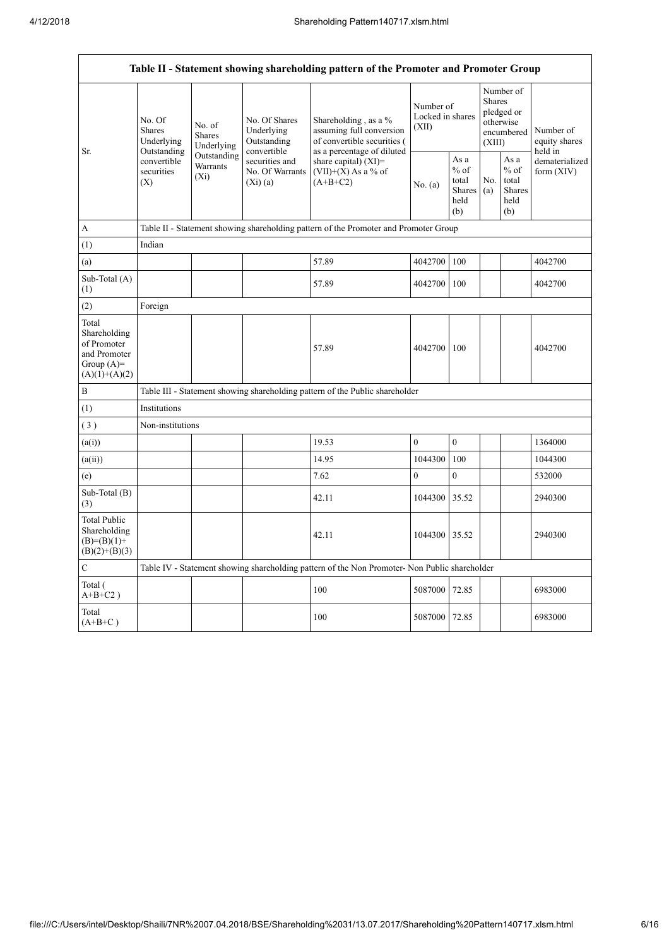|                                                                                         |                                                                                          |                                    |                                                             | Table II - Statement showing shareholding pattern of the Promoter and Promoter Group                             |                                        |                                                  |                                                                        |                                                          |                                       |
|-----------------------------------------------------------------------------------------|------------------------------------------------------------------------------------------|------------------------------------|-------------------------------------------------------------|------------------------------------------------------------------------------------------------------------------|----------------------------------------|--------------------------------------------------|------------------------------------------------------------------------|----------------------------------------------------------|---------------------------------------|
| Sr.                                                                                     | No. Of<br><b>Shares</b><br>Underlying<br>Outstanding<br>convertible<br>securities<br>(X) | No. of<br>Shares<br>Underlying     | No. Of Shares<br>Underlying<br>Outstanding                  | Shareholding, as a $\%$<br>assuming full conversion<br>of convertible securities (<br>as a percentage of diluted | Number of<br>Locked in shares<br>(XII) |                                                  | Number of<br>Shares<br>pledged or<br>otherwise<br>encumbered<br>(XIII) |                                                          | Number of<br>equity shares<br>held in |
|                                                                                         |                                                                                          | Outstanding<br>Warrants<br>$(X_i)$ | convertible<br>securities and<br>No. Of Warrants<br>(Xi)(a) | share capital) (XI)=<br>$(VII)+(X)$ As a % of<br>$(A+B+C2)$                                                      | No. (a)                                | As a<br>$%$ of<br>total<br>Shares<br>held<br>(b) | No.<br>(a)                                                             | As a<br>$\%$ of<br>total<br><b>Shares</b><br>held<br>(b) | dematerialized<br>form $(XIV)$        |
| $\mathbf{A}$                                                                            |                                                                                          |                                    |                                                             | Table II - Statement showing shareholding pattern of the Promoter and Promoter Group                             |                                        |                                                  |                                                                        |                                                          |                                       |
| (1)                                                                                     | Indian                                                                                   |                                    |                                                             |                                                                                                                  |                                        |                                                  |                                                                        |                                                          |                                       |
| (a)                                                                                     |                                                                                          |                                    |                                                             | 57.89                                                                                                            | 4042700                                | 100                                              |                                                                        |                                                          | 4042700                               |
| Sub-Total (A)<br>(1)                                                                    |                                                                                          |                                    |                                                             | 57.89                                                                                                            | 4042700                                | 100                                              |                                                                        |                                                          | 4042700                               |
| (2)                                                                                     | Foreign                                                                                  |                                    |                                                             |                                                                                                                  |                                        |                                                  |                                                                        |                                                          |                                       |
| Total<br>Shareholding<br>of Promoter<br>and Promoter<br>Group $(A)=$<br>$(A)(1)+(A)(2)$ |                                                                                          |                                    |                                                             | 57.89                                                                                                            | 4042700                                | 100                                              |                                                                        |                                                          | 4042700                               |
| $\, {\bf B}$                                                                            |                                                                                          |                                    |                                                             | Table III - Statement showing shareholding pattern of the Public shareholder                                     |                                        |                                                  |                                                                        |                                                          |                                       |
| (1)                                                                                     | Institutions                                                                             |                                    |                                                             |                                                                                                                  |                                        |                                                  |                                                                        |                                                          |                                       |
| (3)                                                                                     | Non-institutions                                                                         |                                    |                                                             |                                                                                                                  |                                        |                                                  |                                                                        |                                                          |                                       |
| (a(i))                                                                                  |                                                                                          |                                    |                                                             | 19.53                                                                                                            | $\overline{0}$                         | $\mathbf{0}$                                     |                                                                        |                                                          | 1364000                               |
| (a(ii))                                                                                 |                                                                                          |                                    |                                                             | 14.95                                                                                                            | 1044300                                | 100                                              |                                                                        |                                                          | 1044300                               |
| (e)                                                                                     |                                                                                          |                                    |                                                             | 7.62                                                                                                             | $\overline{0}$                         | $\mathbf{0}$                                     |                                                                        |                                                          | 532000                                |
| Sub-Total (B)<br>(3)                                                                    |                                                                                          |                                    |                                                             | 42.11                                                                                                            | 1044300                                | 35.52                                            |                                                                        |                                                          | 2940300                               |
| <b>Total Public</b><br>Shareholding<br>$(B)= (B)(1) +$<br>$(B)(2)+(B)(3)$               |                                                                                          |                                    |                                                             | 42.11                                                                                                            | 1044300                                | 35.52                                            |                                                                        |                                                          | 2940300                               |
| $\mathcal{C}$                                                                           |                                                                                          |                                    |                                                             | Table IV - Statement showing shareholding pattern of the Non Promoter- Non Public shareholder                    |                                        |                                                  |                                                                        |                                                          |                                       |
| Total (<br>$A+B+C2$ )                                                                   |                                                                                          |                                    |                                                             | 100                                                                                                              | 5087000                                | 72.85                                            |                                                                        |                                                          | 6983000                               |
| Total<br>$(A+B+C)$                                                                      |                                                                                          |                                    |                                                             | 100                                                                                                              | 5087000                                | 72.85                                            |                                                                        |                                                          | 6983000                               |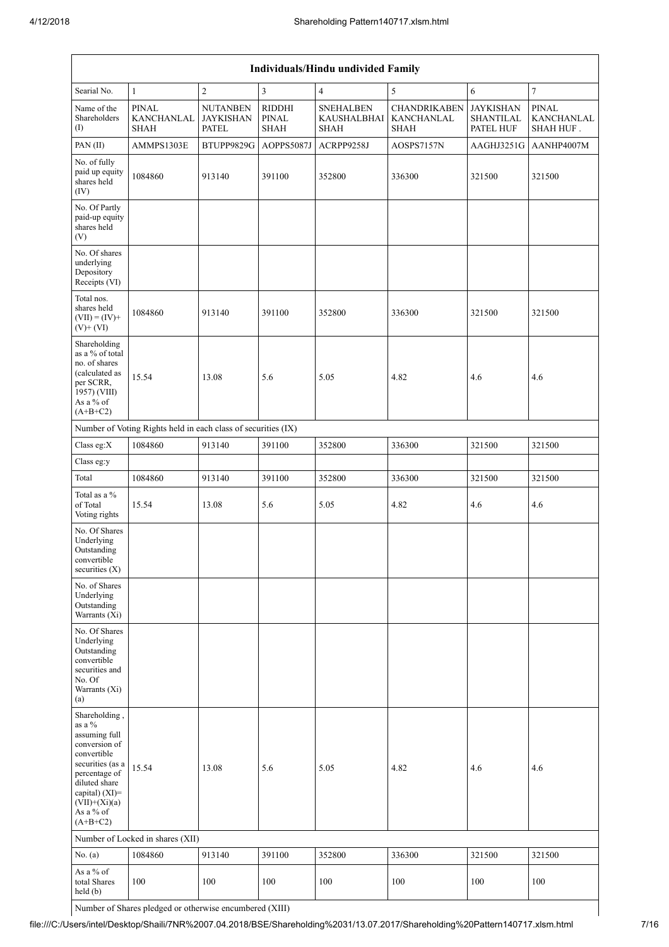|                                                                                                                                                                                                | Individuals/Hindu undivided Family                            |                                                     |                                       |                                                       |                                                         |                                                   |                                                |  |  |
|------------------------------------------------------------------------------------------------------------------------------------------------------------------------------------------------|---------------------------------------------------------------|-----------------------------------------------------|---------------------------------------|-------------------------------------------------------|---------------------------------------------------------|---------------------------------------------------|------------------------------------------------|--|--|
| Searial No.                                                                                                                                                                                    | $\mathbf{1}$                                                  | $\overline{c}$                                      | $\overline{3}$                        | $\overline{4}$                                        | 5                                                       | 6                                                 | $\overline{7}$                                 |  |  |
| Name of the<br>Shareholders<br>(1)                                                                                                                                                             | <b>PINAL</b><br>KANCHANLAL<br><b>SHAH</b>                     | <b>NUTANBEN</b><br><b>JAYKISHAN</b><br><b>PATEL</b> | RIDDHI<br><b>PINAL</b><br><b>SHAH</b> | <b>SNEHALBEN</b><br><b>KAUSHALBHAI</b><br><b>SHAH</b> | <b>CHANDRIKABEN</b><br><b>KANCHANLAL</b><br><b>SHAH</b> | <b>JAYKISHAN</b><br><b>SHANTILAL</b><br>PATEL HUF | <b>PINAL</b><br><b>KANCHANLAL</b><br>SHAH HUF. |  |  |
| PAN (II)                                                                                                                                                                                       | AMMPS1303E                                                    | BTUPP9829G                                          | AOPPS5087J                            | ACRPP9258J                                            | AOSPS7157N                                              | AAGHJ3251G                                        | AANHP4007M                                     |  |  |
| No. of fully<br>paid up equity<br>shares held<br>(IV)                                                                                                                                          | 1084860                                                       | 913140                                              | 391100                                | 352800                                                | 336300                                                  | 321500                                            | 321500                                         |  |  |
| No. Of Partly<br>paid-up equity<br>shares held<br>(V)                                                                                                                                          |                                                               |                                                     |                                       |                                                       |                                                         |                                                   |                                                |  |  |
| No. Of shares<br>underlying<br>Depository<br>Receipts (VI)                                                                                                                                     |                                                               |                                                     |                                       |                                                       |                                                         |                                                   |                                                |  |  |
| Total nos.<br>shares held<br>$(VII) = (IV) +$<br>$(V)+(VI)$                                                                                                                                    | 1084860                                                       | 913140                                              | 391100                                | 352800                                                | 336300                                                  | 321500                                            | 321500                                         |  |  |
| Shareholding<br>as a % of total<br>no. of shares<br>(calculated as<br>per SCRR.<br>$1957)$ (VIII)<br>As a % of<br>$(A+B+C2)$                                                                   | 15.54                                                         | 13.08                                               | 5.6                                   | 5.05                                                  | 4.82                                                    | 4.6                                               | 4.6                                            |  |  |
|                                                                                                                                                                                                | Number of Voting Rights held in each class of securities (IX) |                                                     |                                       |                                                       |                                                         |                                                   |                                                |  |  |
| Class eg:X                                                                                                                                                                                     | 1084860                                                       | 913140                                              | 391100                                | 352800                                                | 336300                                                  | 321500                                            | 321500                                         |  |  |
| Class eg:y                                                                                                                                                                                     |                                                               |                                                     |                                       |                                                       |                                                         |                                                   |                                                |  |  |
| Total                                                                                                                                                                                          | 1084860                                                       | 913140                                              | 391100                                | 352800                                                | 336300                                                  | 321500                                            | 321500                                         |  |  |
| Total as a %<br>of Total<br>Voting rights                                                                                                                                                      | 15.54                                                         | 13.08                                               | 5.6                                   | 5.05                                                  | 4.82                                                    | 4.6                                               | 4.6                                            |  |  |
| No. Of Shares<br>Underlying<br>Outstanding<br>convertible<br>securities (X)                                                                                                                    |                                                               |                                                     |                                       |                                                       |                                                         |                                                   |                                                |  |  |
| No. of Shares<br>Underlying<br>Outstanding<br>Warrants (Xi)                                                                                                                                    |                                                               |                                                     |                                       |                                                       |                                                         |                                                   |                                                |  |  |
| No. Of Shares<br>Underlying<br>Outstanding<br>convertible<br>securities and<br>No. Of<br>Warrants (Xi)<br>(a)                                                                                  |                                                               |                                                     |                                       |                                                       |                                                         |                                                   |                                                |  |  |
| Shareholding,<br>as a %<br>assuming full<br>conversion of<br>convertible<br>securities (as a<br>percentage of<br>diluted share<br>capital) (XI)=<br>$(VII)+(Xi)(a)$<br>As a % of<br>$(A+B+C2)$ | 15.54                                                         | 13.08                                               | 5.6                                   | 5.05                                                  | 4.82                                                    | 4.6                                               | 4.6                                            |  |  |
|                                                                                                                                                                                                | Number of Locked in shares (XII)                              |                                                     |                                       |                                                       |                                                         |                                                   |                                                |  |  |
| No. $(a)$                                                                                                                                                                                      | 1084860                                                       | 913140                                              | 391100                                | 352800                                                | 336300                                                  | 321500                                            | 321500                                         |  |  |
| As a % of<br>total Shares<br>held(b)                                                                                                                                                           | 100                                                           | 100                                                 | 100                                   | 100                                                   | 100                                                     | 100                                               | 100                                            |  |  |

Number of Shares pledged or otherwise encumbered (XIII)

file:///C:/Users/intel/Desktop/Shaili/7NR%2007.04.2018/BSE/Shareholding%2031/13.07.2017/Shareholding%20Pattern140717.xlsm.html 7/16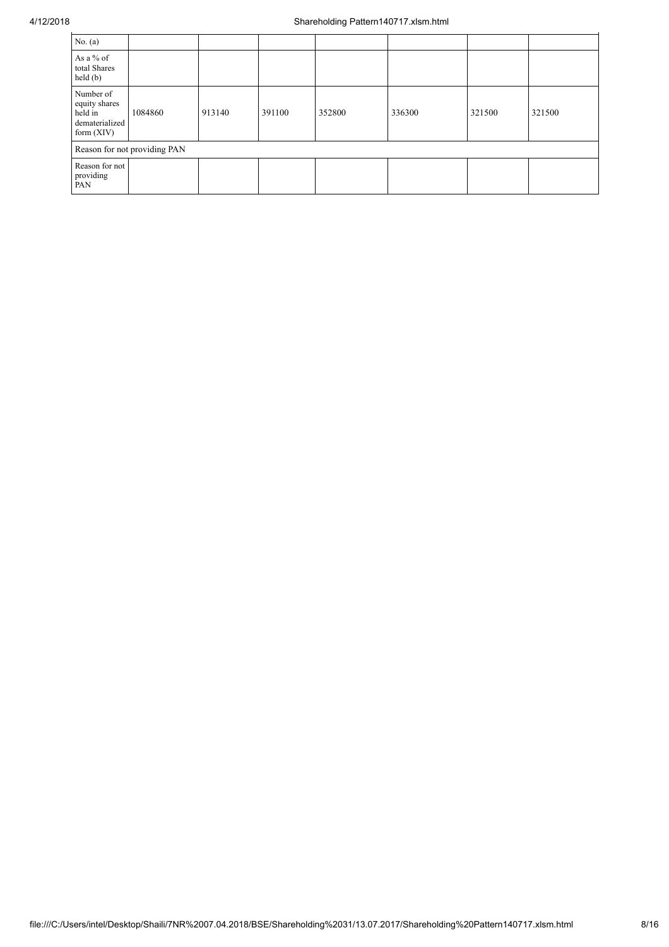| No. $(a)$                                                               |         |        |        |        |        |        |        |
|-------------------------------------------------------------------------|---------|--------|--------|--------|--------|--------|--------|
| As a % of<br>total Shares<br>held(b)                                    |         |        |        |        |        |        |        |
| Number of<br>equity shares<br>held in<br>dematerialized<br>form $(XIV)$ | 1084860 | 913140 | 391100 | 352800 | 336300 | 321500 | 321500 |
| Reason for not providing PAN                                            |         |        |        |        |        |        |        |
| Reason for not<br>providing<br>PAN                                      |         |        |        |        |        |        |        |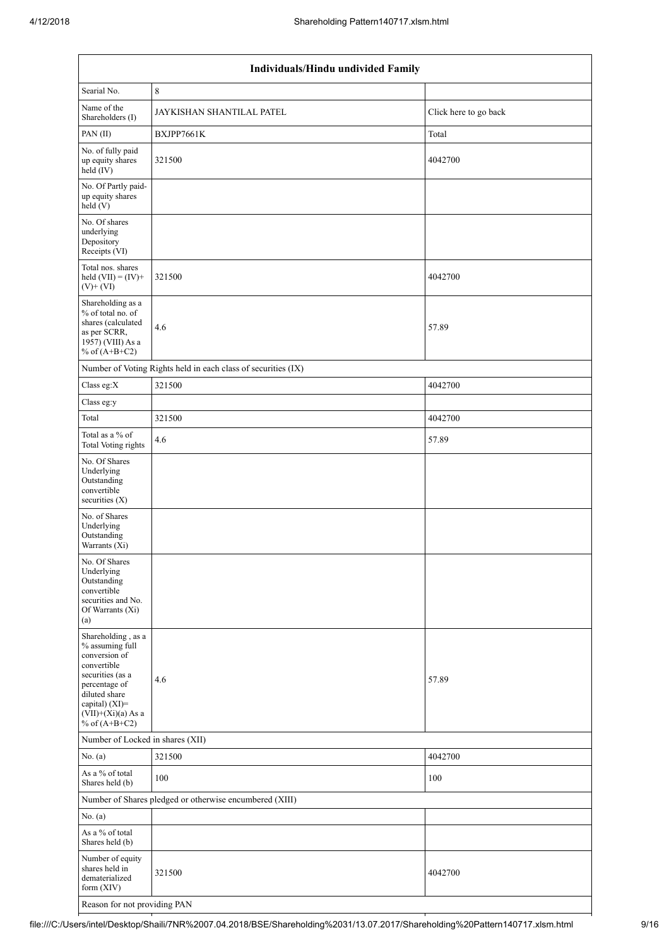| Individuals/Hindu undivided Family                                                                                                                                                       |                                                               |                       |  |  |  |  |  |
|------------------------------------------------------------------------------------------------------------------------------------------------------------------------------------------|---------------------------------------------------------------|-----------------------|--|--|--|--|--|
| Searial No.                                                                                                                                                                              | 8                                                             |                       |  |  |  |  |  |
| Name of the<br>Shareholders (I)                                                                                                                                                          | JAYKISHAN SHANTILAL PATEL                                     | Click here to go back |  |  |  |  |  |
| PAN(II)                                                                                                                                                                                  | BXJPP7661K                                                    | Total                 |  |  |  |  |  |
| No. of fully paid<br>up equity shares<br>held (IV)                                                                                                                                       | 321500                                                        | 4042700               |  |  |  |  |  |
| No. Of Partly paid-<br>up equity shares<br>held(V)                                                                                                                                       |                                                               |                       |  |  |  |  |  |
| No. Of shares<br>underlying<br>Depository<br>Receipts (VI)                                                                                                                               |                                                               |                       |  |  |  |  |  |
| Total nos. shares<br>held $(VII) = (IV) +$<br>$(V)+(VI)$                                                                                                                                 | 321500                                                        | 4042700               |  |  |  |  |  |
| Shareholding as a<br>% of total no. of<br>shares (calculated<br>as per SCRR,<br>1957) (VIII) As a<br>% of $(A+B+C2)$                                                                     | 4.6                                                           | 57.89                 |  |  |  |  |  |
|                                                                                                                                                                                          | Number of Voting Rights held in each class of securities (IX) |                       |  |  |  |  |  |
| Class eg:X                                                                                                                                                                               | 321500                                                        | 4042700               |  |  |  |  |  |
| Class eg:y                                                                                                                                                                               |                                                               |                       |  |  |  |  |  |
| Total                                                                                                                                                                                    | 321500                                                        | 4042700               |  |  |  |  |  |
| Total as a % of<br><b>Total Voting rights</b>                                                                                                                                            | 4.6                                                           | 57.89                 |  |  |  |  |  |
| No. Of Shares<br>Underlying<br>Outstanding<br>convertible<br>securities (X)                                                                                                              |                                                               |                       |  |  |  |  |  |
| No. of Shares<br>Underlying<br>Outstanding<br>Warrants (Xi)                                                                                                                              |                                                               |                       |  |  |  |  |  |
| No. Of Shares<br>Underlying<br>Outstanding<br>convertible<br>securities and No.<br>Of Warrants (Xi)<br>(a)                                                                               |                                                               |                       |  |  |  |  |  |
| Shareholding, as a<br>% assuming full<br>conversion of<br>convertible<br>securities (as a<br>percentage of<br>diluted share<br>capital) (XI)=<br>$(VII)+(Xi)(a)$ As a<br>% of $(A+B+C2)$ | 4.6                                                           | 57.89                 |  |  |  |  |  |
| Number of Locked in shares (XII)                                                                                                                                                         |                                                               |                       |  |  |  |  |  |
| No. (a)                                                                                                                                                                                  | 321500                                                        | 4042700               |  |  |  |  |  |
| As a % of total<br>Shares held (b)                                                                                                                                                       | 100                                                           | 100                   |  |  |  |  |  |
|                                                                                                                                                                                          | Number of Shares pledged or otherwise encumbered (XIII)       |                       |  |  |  |  |  |
| No. (a)                                                                                                                                                                                  |                                                               |                       |  |  |  |  |  |
| As a $\%$ of total<br>Shares held (b)                                                                                                                                                    |                                                               |                       |  |  |  |  |  |
| Number of equity<br>shares held in<br>dematerialized<br>form $(XIV)$                                                                                                                     | 321500                                                        | 4042700               |  |  |  |  |  |
| Reason for not providing PAN                                                                                                                                                             |                                                               |                       |  |  |  |  |  |

file:///C:/Users/intel/Desktop/Shaili/7NR%2007.04.2018/BSE/Shareholding%2031/13.07.2017/Shareholding%20Pattern140717.xlsm.html 9/16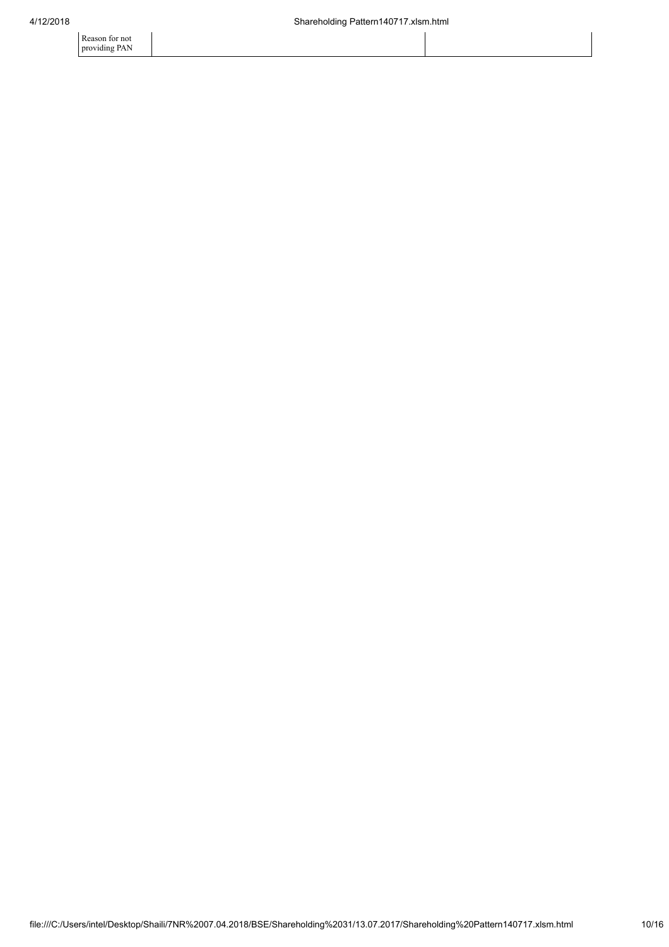Reason for not providing PAN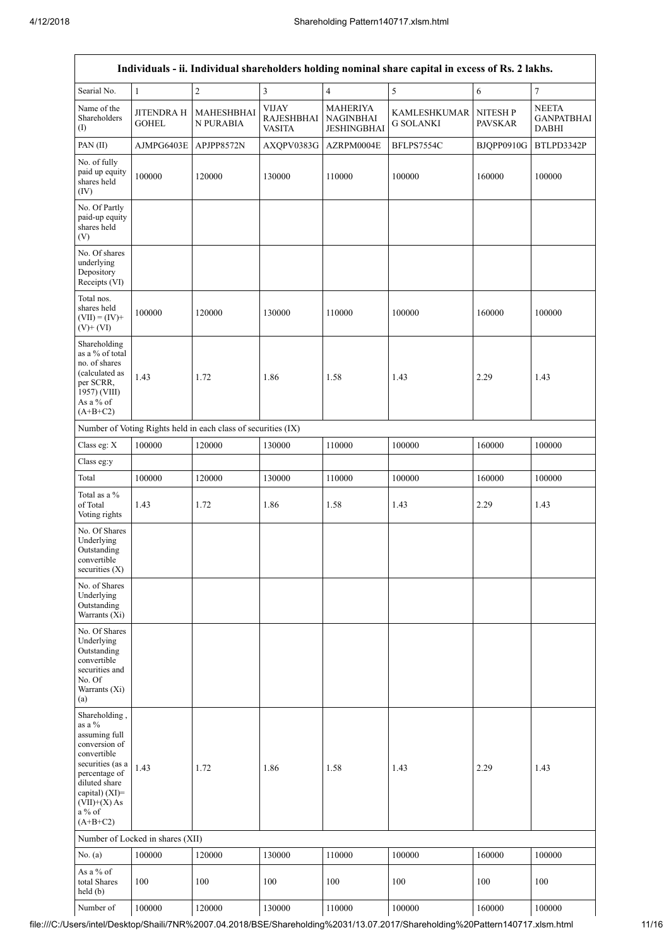$\mathsf{r}$ 

 $\overline{\mathbf{1}}$ 

| Individuals - ii. Individual shareholders holding nominal share capital in excess of Rs. 2 lakhs.                                                                                               |                                   |                                                               |                                                    |                                                           |                                  |                                  |                                                   |
|-------------------------------------------------------------------------------------------------------------------------------------------------------------------------------------------------|-----------------------------------|---------------------------------------------------------------|----------------------------------------------------|-----------------------------------------------------------|----------------------------------|----------------------------------|---------------------------------------------------|
| Searial No.                                                                                                                                                                                     | $\mathbf{1}$                      | $\sqrt{2}$                                                    | $\mathfrak z$                                      | $\overline{\mathbf{4}}$                                   | $\sqrt{5}$                       | $\sqrt{6}$                       | $\tau$                                            |
| Name of the<br>Shareholders<br>$\rm (I)$                                                                                                                                                        | <b>JITENDRA H</b><br><b>GOHEL</b> | MAHESHBHAI<br>N PURABIA                                       | <b>VIJAY</b><br><b>RAJESHBHAI</b><br><b>VASITA</b> | <b>MAHERIYA</b><br><b>NAGINBHAI</b><br><b>JESHINGBHAI</b> | KAMLESHKUMAR<br><b>G SOLANKI</b> | <b>NITESHP</b><br><b>PAVSKAR</b> | <b>NEETA</b><br><b>GANPATBHAI</b><br><b>DABHI</b> |
| PAN (II)                                                                                                                                                                                        | AJMPG6403E                        | APJPP8572N                                                    | AXQPV0383G                                         | AZRPM0004E                                                | BFLPS7554C                       | <b>BJOPP0910G</b>                | BTLPD3342P                                        |
| No. of fully<br>paid up equity<br>shares held<br>(IV)                                                                                                                                           | 100000                            | 120000                                                        | 130000                                             | 110000                                                    | 100000                           | 160000                           | 100000                                            |
| No. Of Partly<br>paid-up equity<br>shares held<br>(V)                                                                                                                                           |                                   |                                                               |                                                    |                                                           |                                  |                                  |                                                   |
| No. Of shares<br>underlying<br>Depository<br>Receipts (VI)                                                                                                                                      |                                   |                                                               |                                                    |                                                           |                                  |                                  |                                                   |
| Total nos.<br>shares held<br>$(VII) = (IV) +$<br>$(V)$ + $(VI)$                                                                                                                                 | 100000                            | 120000                                                        | 130000                                             | 110000                                                    | 100000                           | 160000                           | 100000                                            |
| Shareholding<br>as a % of total<br>no. of shares<br>(calculated as<br>per SCRR,<br>1957) (VIII)<br>As a % of<br>$(A+B+C2)$                                                                      | 1.43                              | 1.72                                                          | 1.86                                               | 1.58                                                      | 1.43                             | 2.29                             | 1.43                                              |
|                                                                                                                                                                                                 |                                   | Number of Voting Rights held in each class of securities (IX) |                                                    |                                                           |                                  |                                  |                                                   |
| Class eg: X                                                                                                                                                                                     | 100000                            | 120000                                                        | 130000                                             | 110000                                                    | 100000                           | 160000                           | 100000                                            |
| Class eg:y                                                                                                                                                                                      |                                   |                                                               |                                                    |                                                           |                                  |                                  |                                                   |
| Total                                                                                                                                                                                           | 100000                            | 120000                                                        | 130000                                             | 110000                                                    | 100000                           | 160000                           | 100000                                            |
| Total as a %<br>of Total<br>Voting rights                                                                                                                                                       | 1.43                              | 1.72                                                          | 1.86                                               | 1.58                                                      | 1.43                             | 2.29                             | 1.43                                              |
| No. Of Shares<br>Underlying<br>Outstanding<br>convertible<br>securities $(X)$                                                                                                                   |                                   |                                                               |                                                    |                                                           |                                  |                                  |                                                   |
| No. of Shares<br>Underlying<br>Outstanding<br>Warrants (Xi)                                                                                                                                     |                                   |                                                               |                                                    |                                                           |                                  |                                  |                                                   |
| No. Of Shares<br>Underlying<br>Outstanding<br>convertible<br>securities and<br>No. Of<br>Warrants (Xi)<br>(a)                                                                                   |                                   |                                                               |                                                    |                                                           |                                  |                                  |                                                   |
| Shareholding,<br>as a %<br>assuming full<br>conversion of<br>convertible<br>securities (as a<br>percentage of<br>diluted share<br>capital) $(XI)$ =<br>$(VII)+(X)$ As<br>$a\%$ of<br>$(A+B+C2)$ | 1.43                              | 1.72                                                          | 1.86                                               | 1.58                                                      | 1.43                             | 2.29                             | 1.43                                              |
|                                                                                                                                                                                                 | Number of Locked in shares (XII)  |                                                               |                                                    |                                                           |                                  |                                  |                                                   |
| No. (a)                                                                                                                                                                                         | 100000                            | 120000                                                        | 130000                                             | 110000                                                    | 100000                           | 160000                           | 100000                                            |
| As a % of<br>total Shares<br>held (b)                                                                                                                                                           | 100                               | 100                                                           | 100                                                | 100                                                       | 100                              | 100                              | 100                                               |
| Number of                                                                                                                                                                                       | 100000                            | 120000                                                        | 130000                                             | 110000                                                    | 100000                           | 160000                           | 100000                                            |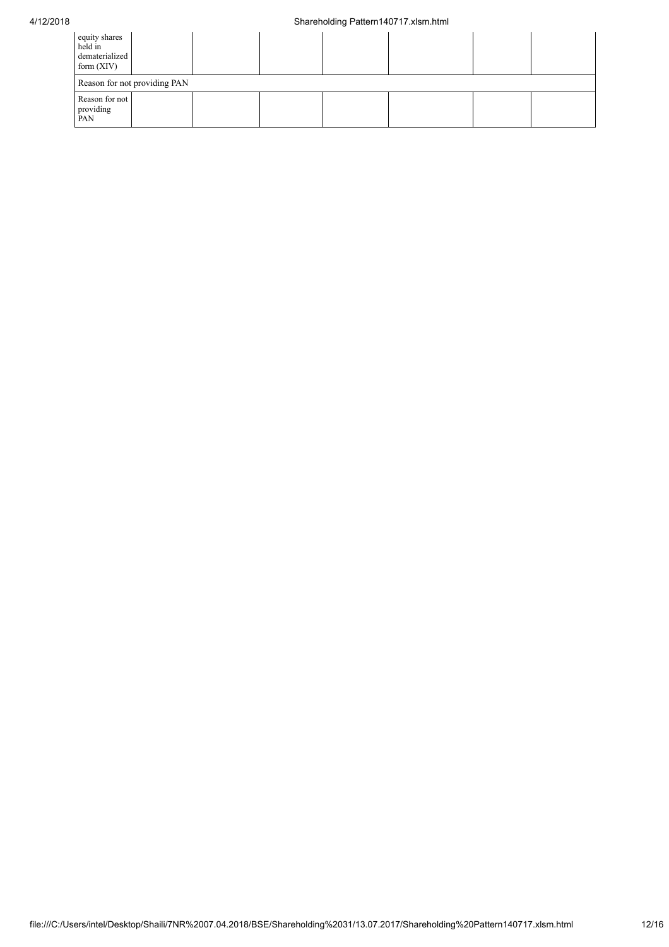## 4/12/2018 Shareholding Pattern140717.xlsm.html

| equity shares<br>held in<br>dematerialized<br>form $(XIV)$ |  |  |  |  |  |  |  |  |
|------------------------------------------------------------|--|--|--|--|--|--|--|--|
| Reason for not providing PAN                               |  |  |  |  |  |  |  |  |
| Reason for not<br>providing<br>PAN                         |  |  |  |  |  |  |  |  |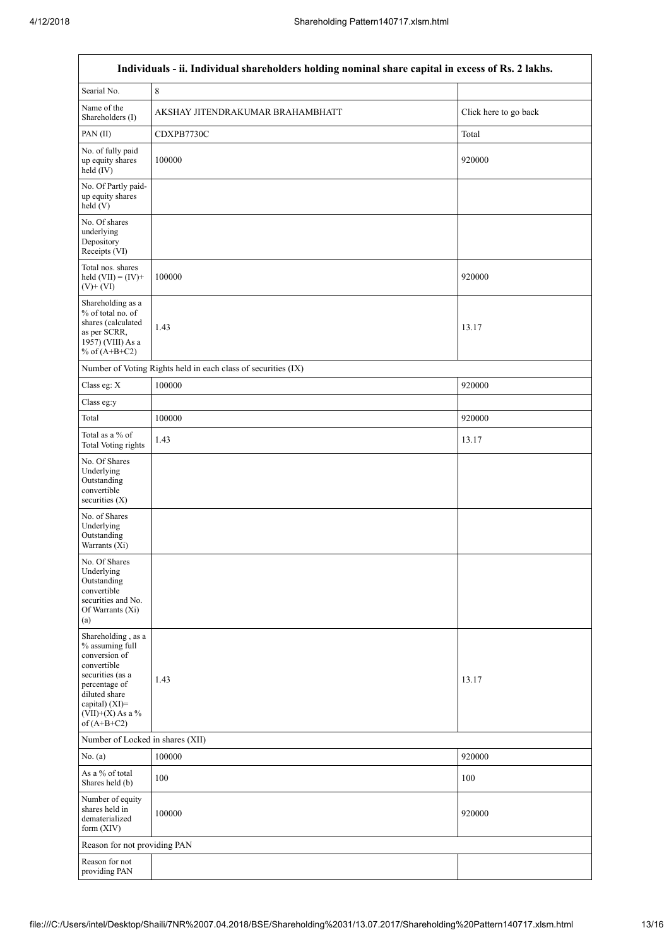$\overline{\mathsf{I}}$ 

| Individuals - ii. Individual shareholders holding nominal share capital in excess of Rs. 2 lakhs.                                                                                    |                                                               |                       |  |  |  |  |  |
|--------------------------------------------------------------------------------------------------------------------------------------------------------------------------------------|---------------------------------------------------------------|-----------------------|--|--|--|--|--|
| Searial No.                                                                                                                                                                          | $\,8\,$                                                       |                       |  |  |  |  |  |
| Name of the<br>Shareholders (I)                                                                                                                                                      | AKSHAY JITENDRAKUMAR BRAHAMBHATT                              | Click here to go back |  |  |  |  |  |
| PAN(II)                                                                                                                                                                              | CDXPB7730C                                                    | Total                 |  |  |  |  |  |
| No. of fully paid<br>up equity shares<br>held (IV)                                                                                                                                   | 100000                                                        | 920000                |  |  |  |  |  |
| No. Of Partly paid-<br>up equity shares<br>held (V)                                                                                                                                  |                                                               |                       |  |  |  |  |  |
| No. Of shares<br>underlying<br>Depository<br>Receipts (VI)                                                                                                                           |                                                               |                       |  |  |  |  |  |
| Total nos. shares<br>held $(VII) = (IV) +$<br>$(V)+(VI)$                                                                                                                             | 100000                                                        | 920000                |  |  |  |  |  |
| Shareholding as a<br>% of total no. of<br>shares (calculated<br>as per SCRR,<br>1957) (VIII) As a<br>% of $(A+B+C2)$                                                                 | 1.43                                                          | 13.17                 |  |  |  |  |  |
|                                                                                                                                                                                      | Number of Voting Rights held in each class of securities (IX) |                       |  |  |  |  |  |
| Class eg: X                                                                                                                                                                          | 100000                                                        | 920000                |  |  |  |  |  |
| Class eg:y                                                                                                                                                                           |                                                               |                       |  |  |  |  |  |
| Total                                                                                                                                                                                | 100000                                                        | 920000                |  |  |  |  |  |
| Total as a % of<br><b>Total Voting rights</b>                                                                                                                                        | 1.43                                                          | 13.17                 |  |  |  |  |  |
| No. Of Shares<br>Underlying<br>Outstanding<br>convertible<br>securities $(X)$                                                                                                        |                                                               |                       |  |  |  |  |  |
| No. of Shares<br>Underlying<br>Outstanding<br>Warrants (Xi)                                                                                                                          |                                                               |                       |  |  |  |  |  |
| No. Of Shares<br>Underlying<br>Outstanding<br>convertible<br>securities and No.<br>Of Warrants (Xi)<br>(a)                                                                           |                                                               |                       |  |  |  |  |  |
| Shareholding, as a<br>% assuming full<br>conversion of<br>convertible<br>securities (as a<br>percentage of<br>diluted share<br>capital) (XI)=<br>$(VII)+(X)$ As a %<br>of $(A+B+C2)$ | 1.43                                                          | 13.17                 |  |  |  |  |  |
| Number of Locked in shares (XII)                                                                                                                                                     |                                                               |                       |  |  |  |  |  |
| No. $(a)$                                                                                                                                                                            | 100000                                                        | 920000                |  |  |  |  |  |
| As a % of total<br>Shares held (b)                                                                                                                                                   | 100                                                           | 100                   |  |  |  |  |  |
| Number of equity<br>shares held in<br>dematerialized<br>form (XIV)                                                                                                                   | 100000                                                        | 920000                |  |  |  |  |  |
| Reason for not providing PAN                                                                                                                                                         |                                                               |                       |  |  |  |  |  |
| Reason for not<br>providing PAN                                                                                                                                                      |                                                               |                       |  |  |  |  |  |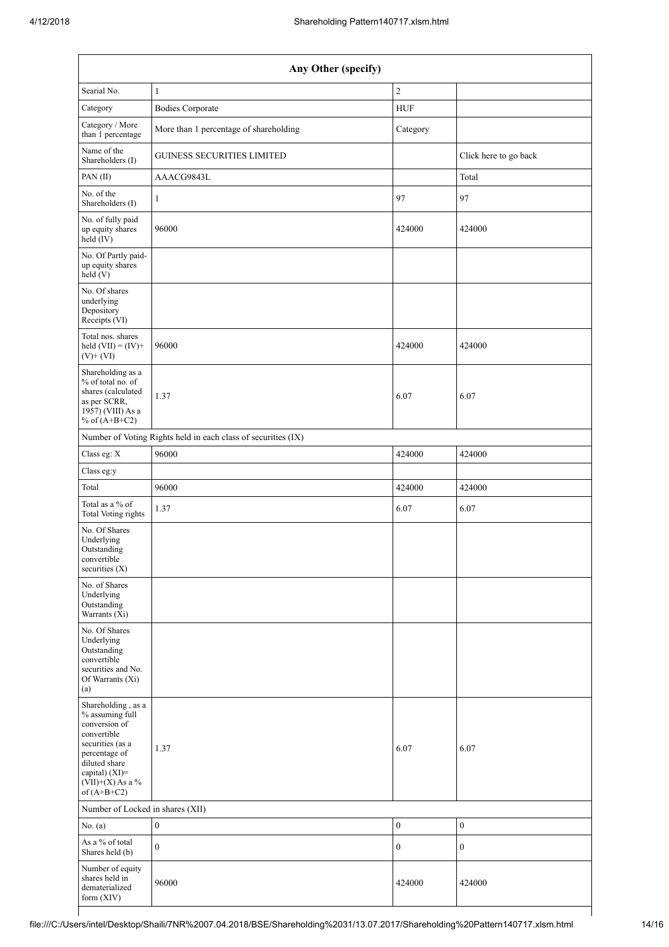| Any Other (specify)                                                                                                                                                                     |                                                               |                  |                       |  |  |  |
|-----------------------------------------------------------------------------------------------------------------------------------------------------------------------------------------|---------------------------------------------------------------|------------------|-----------------------|--|--|--|
| Searial No.                                                                                                                                                                             | $\mathbf{1}$                                                  | $\sqrt{2}$       |                       |  |  |  |
| Category                                                                                                                                                                                | <b>Bodies Corporate</b>                                       | <b>HUF</b>       |                       |  |  |  |
| Category / More<br>than 1 percentage                                                                                                                                                    | More than 1 percentage of shareholding                        | Category         |                       |  |  |  |
| Name of the<br>Shareholders (I)                                                                                                                                                         | <b>GUINESS SECURITIES LIMITED</b>                             |                  | Click here to go back |  |  |  |
| PAN(II)                                                                                                                                                                                 | AAACG9843L                                                    |                  | Total                 |  |  |  |
| No. of the<br>Shareholders (I)                                                                                                                                                          | 1                                                             | 97               | 97                    |  |  |  |
| No. of fully paid<br>up equity shares<br>held (IV)                                                                                                                                      | 96000                                                         | 424000           | 424000                |  |  |  |
| No. Of Partly paid-<br>up equity shares<br>held (V)                                                                                                                                     |                                                               |                  |                       |  |  |  |
| No. Of shares<br>underlying<br>Depository<br>Receipts (VI)                                                                                                                              |                                                               |                  |                       |  |  |  |
| Total nos. shares<br>held $(VII) = (IV) +$<br>$(V)$ + $(VI)$                                                                                                                            | 96000                                                         | 424000           | 424000                |  |  |  |
| Shareholding as a<br>% of total no. of<br>shares (calculated<br>as per SCRR,<br>1957) (VIII) As a<br>% of $(A+B+C2)$                                                                    | 1.37                                                          | 6.07             | 6.07                  |  |  |  |
|                                                                                                                                                                                         | Number of Voting Rights held in each class of securities (IX) |                  |                       |  |  |  |
| Class eg: X                                                                                                                                                                             | 96000                                                         | 424000           | 424000                |  |  |  |
| Class eg:y                                                                                                                                                                              |                                                               |                  |                       |  |  |  |
| Total                                                                                                                                                                                   | 96000                                                         | 424000           | 424000                |  |  |  |
| Total as a % of<br><b>Total Voting rights</b>                                                                                                                                           | 1.37                                                          | 6.07             | 6.07                  |  |  |  |
| No. Of Shares<br>Underlying<br>Outstanding<br>convertible<br>securities $(X)$                                                                                                           |                                                               |                  |                       |  |  |  |
| No. of Shares<br>Underlying<br>Outstanding<br>Warrants (Xi)                                                                                                                             |                                                               |                  |                       |  |  |  |
| No. Of Shares<br>Underlying<br>Outstanding<br>convertible<br>securities and No.<br>Of Warrants (Xi)<br>(a)                                                                              |                                                               |                  |                       |  |  |  |
| Shareholding, as a<br>% assuming full<br>conversion of<br>convertible<br>securities (as a<br>percentage of<br>diluted share<br>capital) $(XI)$ =<br>$(VII)+(X)$ As a %<br>of $(A+B+C2)$ | 1.37                                                          | 6.07             | 6.07                  |  |  |  |
| Number of Locked in shares (XII)                                                                                                                                                        |                                                               |                  |                       |  |  |  |
| No. $(a)$                                                                                                                                                                               | $\boldsymbol{0}$                                              | $\boldsymbol{0}$ | $\boldsymbol{0}$      |  |  |  |
| As a % of total<br>Shares held (b)                                                                                                                                                      | $\boldsymbol{0}$                                              | $\boldsymbol{0}$ | $\boldsymbol{0}$      |  |  |  |
| Number of equity<br>shares held in<br>dematerialized<br>form (XIV)                                                                                                                      | 96000                                                         | 424000           | 424000                |  |  |  |